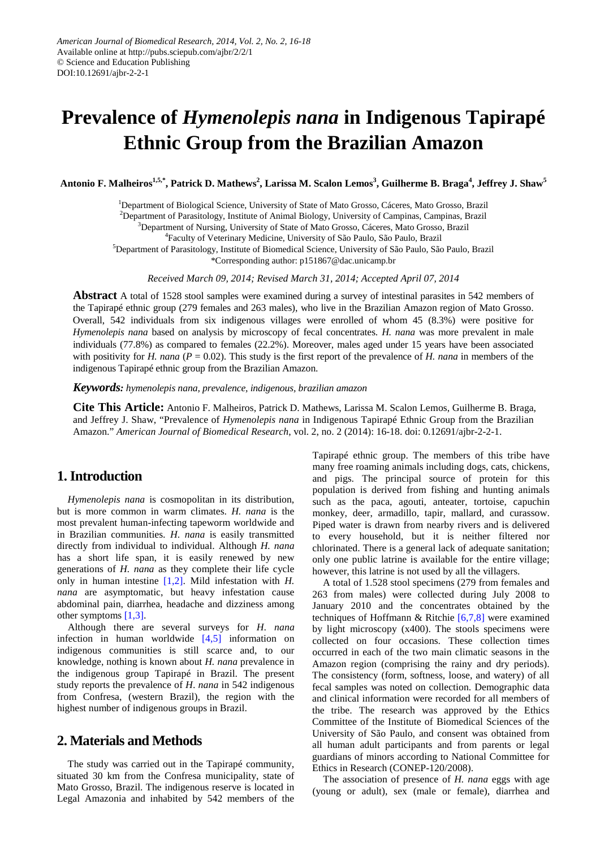# **Prevalence of** *Hymenolepis nana* **in Indigenous Tapirapé Ethnic Group from the Brazilian Amazon**

Antonio F. Malheiros<sup>1,5,\*</sup>, Patrick D. Mathews<sup>2</sup>, Larissa M. Scalon Lemos<sup>3</sup>, Guilherme B. Braga<sup>4</sup>, Jeffrey J. Shaw<sup>5</sup>

<sup>1</sup>Department of Biological Science, University of State of Mato Grosso, Cáceres, Mato Grosso, Brazil <sup>2</sup>Department of Parasitology, Institute of Animal Biology, University of Campinas, Campinas, Brazil <sup>3</sup>Department of Nursing, University of State of Mato Grosso, Cáceres, Mato Grosso, Brazil 4 Faculty of Veterinary Medicine, University of São Paulo, São Paulo, Brazil 5 Department of Parasitology, Institute of Biomedical Science, University of São Paulo, São Paulo, Brazil \*Corresponding author: [p151867@dac.unicamp.br](mailto:p151867@dac.unicamp.br)

*Received March 09, 2014; Revised March 31, 2014; Accepted April 07, 2014*

**Abstract** A total of 1528 stool samples were examined during a survey of intestinal parasites in 542 members of the Tapirapé ethnic group (279 females and 263 males), who live in the Brazilian Amazon region of Mato Grosso. Overall, 542 individuals from six indigenous villages were enrolled of whom 45 (8.3%) were positive for *Hymenolepis nana* based on analysis by microscopy of fecal concentrates. *H. nana* was more prevalent in male individuals (77.8%) as compared to females (22.2%). Moreover, males aged under 15 years have been associated with positivity for *H. nana* ( $P = 0.02$ ). This study is the first report of the prevalence of *H. nana* in members of the indigenous Tapirapé ethnic group from the Brazilian Amazon.

*Keywords: hymenolepis nana, prevalence, indigenous, brazilian amazon*

**Cite This Article:** Antonio F. Malheiros, Patrick D. Mathews, Larissa M. Scalon Lemos, Guilherme B. Braga, and Jeffrey J. Shaw, "Prevalence of *Hymenolepis nana* in Indigenous Tapirapé Ethnic Group from the Brazilian Amazon." *American Journal of Biomedical Research*, vol. 2, no. 2 (2014): 16-18. doi: 0.12691/ajbr-2-2-1.

## **1.Introduction**

*Hymenolepis nana* is cosmopolitan in its distribution, but is more common in warm climates. *H. nana* is the most prevalent human-infecting tapeworm worldwide and in Brazilian communities. *H*. *nana* is easily transmitted directly from individual to individual. Although *H. nana* has a short life span, it is easily renewed by new generations of *H. nana* as they complete their life cycle only in human intestine [\[1,2\].](#page-2-0) Mild infestation with *H. nana* are asymptomatic, but heavy infestation cause abdominal pain, diarrhea, headache and dizziness among other symptoms [\[1,3\].](#page-2-0)

Although there are several surveys for *H*. *nana* infection in human worldwide [\[4,5\]](#page-2-1) information on indigenous communities is still scarce and, to our knowledge, nothing is known about *H. nana* prevalence in the indigenous group Tapirapé in Brazil. The present study reports the prevalence of *H*. *nana* in 542 indigenous from Confresa, (western Brazil), the region with the highest number of indigenous groups in Brazil.

## **2. Materials and Methods**

The study was carried out in the Tapirapé community, situated 30 km from the Confresa municipality, state of Mato Grosso, Brazil. The indigenous reserve is located in Legal Amazonia and inhabited by 542 members of the Tapirapé ethnic group. The members of this tribe have many free roaming animals including dogs, cats, chickens, and pigs. The principal source of protein for this population is derived from fishing and hunting animals such as the paca, agouti, anteater, tortoise, capuchin monkey, deer, armadillo, tapir, mallard, and curassow. Piped water is drawn from nearby rivers and is delivered to every household, but it is neither filtered nor chlorinated. There is a general lack of adequate sanitation; only one public latrine is available for the entire village; however, this latrine is not used by all the villagers.

A total of 1.528 stool specimens (279 from females and 263 from males) were collected during July 2008 to January 2010 and the concentrates obtained by the techniques of Hoffmann & Ritchie  $[6,7,8]$  were examined by light microscopy (x400). The stools specimens were collected on four occasions. These collection times occurred in each of the two main climatic seasons in the Amazon region (comprising the rainy and dry periods). The consistency (form, softness, loose, and watery) of all fecal samples was noted on collection. Demographic data and clinical information were recorded for all members of the tribe. The research was approved by the Ethics Committee of the Institute of Biomedical Sciences of the University of São Paulo, and consent was obtained from all human adult participants and from parents or legal guardians of minors according to National Committee for Ethics in Research (CONEP-120/2008).

The association of presence of *H. nana* eggs with age (young or adult), sex (male or female), diarrhea and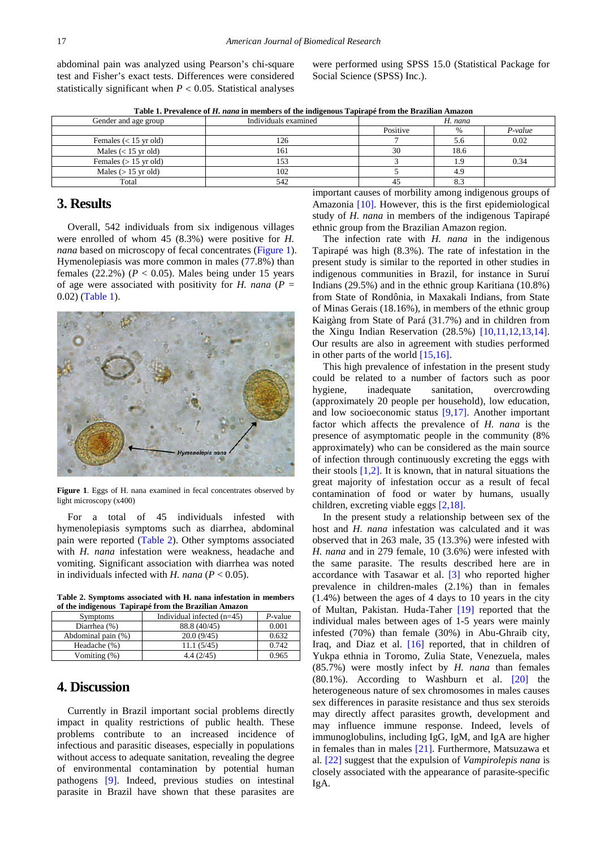abdominal pain was analyzed using Pearson's chi-square test and Fisher's exact tests. Differences were considered statistically significant when  $P < 0.05$ . Statistical analyses

were performed using SPSS 15.0 (Statistical Package for Social Science (SPSS) Inc.).

**Table 1. Prevalence of** *H. nana* **in members of the indigenous Tapirapé from the Brazilian Amazon**

<span id="page-1-1"></span>

| Gender and age group    | Individuals examined | H. nana     |      |         |
|-------------------------|----------------------|-------------|------|---------|
|                         |                      | Positive    | %    | P-value |
| Females $(< 15$ yr old) | 126                  |             | 5.6  | 0.02    |
| Males $(< 15$ yr old)   | 161                  | 30          | 18.6 |         |
| Females $(> 15$ yr old) | 153                  |             |      | 0.34    |
| Males $(>15$ yr old)    | 102                  |             | 4.9  |         |
| Total                   | 542                  |             | 8.3  |         |
|                         |                      | .<br>$\sim$ | .    |         |

#### **3. Results**

Overall, 542 individuals from six indigenous villages were enrolled of whom 45 (8.3%) were positive for *H. nana* based on microscopy of fecal concentrates [\(Figure 1\)](#page-1-0). Hymenolepiasis was more common in males (77.8%) than females  $(22.2\%)$   $(P < 0.05)$ . Males being under 15 years of age were associated with positivity for *H. nana* ( $P =$ 0.02) [\(Table 1\)](#page-1-1).

<span id="page-1-0"></span>

**Figure 1**. Eggs of H. nana examined in fecal concentrates observed by light microscopy (x400)

For a total of 45 individuals infested with hymenolepiasis symptoms such as diarrhea, abdominal pain were reported [\(Table 2\)](#page-1-2). Other symptoms associated with *H. nana* infestation were weakness, headache and vomiting. Significant association with diarrhea was noted in individuals infected with *H. nana* ( $P < 0.05$ ).

**Table 2. Symptoms associated with H. nana infestation in members of the indigenous Tapirapé from the Brazilian Amazon**

<span id="page-1-2"></span>

| Symptoms           | Individual infected $(n=45)$ | P-value |
|--------------------|------------------------------|---------|
| Diarrhea $(\%)$    | 88.8 (40/45)                 | 0.001   |
| Abdominal pain (%) | 20.0(9/45)                   | 0.632   |
| Headache (%)       | 11.1(5/45)                   | 0.742   |
| Vomiting (%)       | 4.4 (2/45)                   | 0.965   |

## **4. Discussion**

Currently in Brazil important social problems directly impact in quality restrictions of public health. These problems contribute to an increased incidence of infectious and parasitic diseases, especially in populations without access to adequate sanitation, revealing the degree of environmental contamination by potential human pathogens [\[9\].](#page-2-3) Indeed, previous studies on intestinal parasite in Brazil have shown that these parasites are

important causes of morbility among indigenous groups of Amazonia [\[10\].](#page-2-4) However, this is the first epidemiological study of *H. nana* in members of the indigenous Tapirapé ethnic group from the Brazilian Amazon region.

The infection rate with *H. nana* in the indigenous Tapirapé was high (8.3%). The rate of infestation in the present study is similar to the reported in other studies in indigenous communities in Brazil, for instance in Suruí Indians (29.5%) and in the ethnic group Karitiana (10.8%) from State of Rondônia, in Maxakali Indians, from State of Minas Gerais (18.16%), in members of the ethnic group Kaigàng from State of Pará (31.7%) and in children from the Xingu Indian Reservation (28.5%) [\[10,11,12,13,14\].](#page-2-4) Our results are also in agreement with studies performed in other parts of the world  $[15,16]$ .

This high prevalence of infestation in the present study could be related to a number of factors such as poor hygiene, inadequate sanitation, overcrowding (approximately 20 people per household), low education, and low socioeconomic status [\[9,17\].](#page-2-3) Another important factor which affects the prevalence of *H. nana* is the presence of asymptomatic people in the community (8% approximately) who can be considered as the main source of infection through continuously excreting the eggs with their stools  $[1,2]$ . It is known, that in natural situations the great majority of infestation occur as a result of fecal contamination of food or water by humans, usually children, excreting viable eggs [\[2,18\].](#page-2-6)

In the present study a relationship between sex of the host and *H. nana* infestation was calculated and it was observed that in 263 male, 35 (13.3%) were infested with *H. nana* and in 279 female, 10 (3.6%) were infested with the same parasite. The results described here are in accordance with Tasawar et al. [\[3\]](#page-2-7) who reported higher prevalence in children-males (2.1%) than in females (1.4%) between the ages of 4 days to 10 years in the city of Multan, Pakistan. Huda-Taher [\[19\]](#page-2-8) reported that the individual males between ages of 1-5 years were mainly infested (70%) than female (30%) in Abu-Ghraib city, Iraq, and Diaz et al. [\[16\]](#page-2-9) reported, that in children of Yukpa ethnia in Toromo, Zulia State, Venezuela, males (85.7%) were mostly infect by *H. nana* than females (80.1%). According to Washburn et al. [\[20\]](#page-2-10) the heterogeneous nature of sex chromosomes in males causes sex differences in parasite resistance and thus sex steroids may directly affect parasites growth, development and may influence immune response. Indeed, levels of immunoglobulins, including IgG, IgM, and IgA are higher in females than in males [\[21\].](#page-2-11) Furthermore, Matsuzawa et al. [\[22\]](#page-2-12) suggest that the expulsion of *Vampirolepis nana* is closely associated with the appearance of parasite-specific IgA.